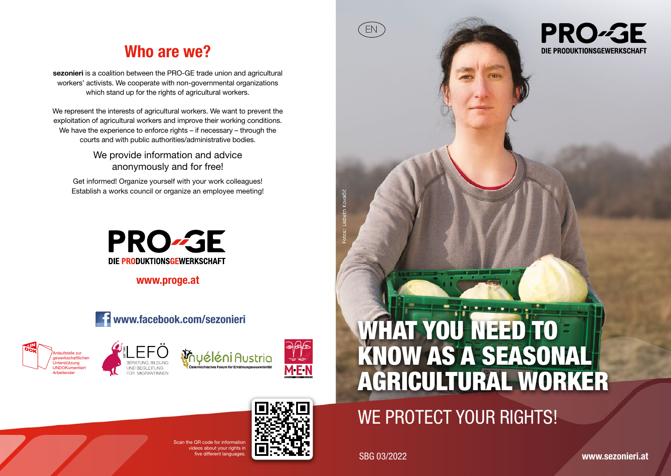## Who are we?

sezonieri is a coalition between the PRO-GE trade union and agricultural workers' activists. We cooperate with non-governmental organizations which stand up for the rights of agricultural workers.

We represent the interests of agricultural workers. We want to prevent the exploitation of agricultural workers and improve their working conditions. We have the experience to enforce rights – if necessary – through the courts and with public authorities/administrative bodies.

> We provide information and advice anonymously and for free!

Get informed! Organize yourself with your work colleagues! Establish a works council or organize an employee meeting!



www.proge.at











# WE PROTECT YOUR RIGHTS!

ive different languages. SBG 03/2022

EN

**PRO-GE** DIE PRODUKTIONSGEWERKSCHAFT

www.sezonieri.at

 $S_{\text{max}}$   $\cap$   $D$  code for information ideos about your rights in